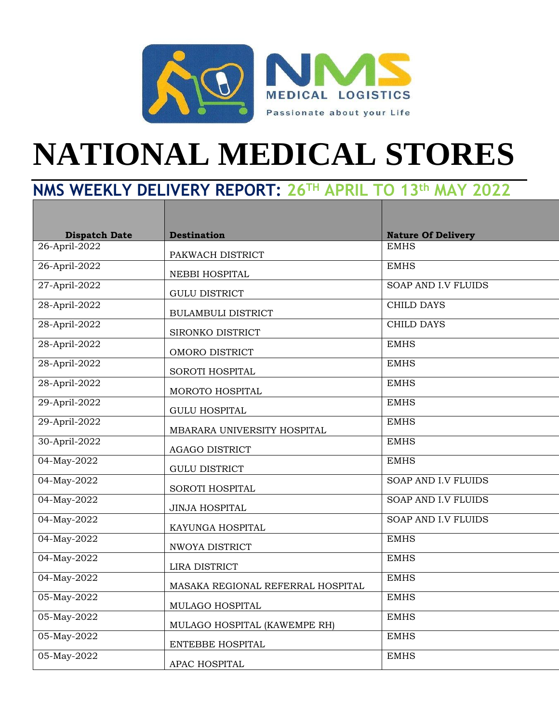

## **NATIONAL MEDICAL STORES**

## **NMS WEEKLY DELIVERY REPORT: 26TH APRIL TO 13th MAY 2022**

| <b>Dispatch Date</b> | <b>Destination</b>                | <b>Nature Of Delivery</b>  |
|----------------------|-----------------------------------|----------------------------|
| 26-April-2022        | PAKWACH DISTRICT                  | <b>EMHS</b>                |
| 26-April-2022        | NEBBI HOSPITAL                    | <b>EMHS</b>                |
| 27-April-2022        | <b>GULU DISTRICT</b>              | <b>SOAP AND I.V FLUIDS</b> |
| 28-April-2022        | <b>BULAMBULI DISTRICT</b>         | <b>CHILD DAYS</b>          |
| 28-April-2022        | SIRONKO DISTRICT                  | <b>CHILD DAYS</b>          |
| 28-April-2022        | OMORO DISTRICT                    | <b>EMHS</b>                |
| 28-April-2022        | SOROTI HOSPITAL                   | <b>EMHS</b>                |
| 28-April-2022        | MOROTO HOSPITAL                   | <b>EMHS</b>                |
| 29-April-2022        | <b>GULU HOSPITAL</b>              | <b>EMHS</b>                |
| 29-April-2022        | MBARARA UNIVERSITY HOSPITAL       | <b>EMHS</b>                |
| 30-April-2022        | AGAGO DISTRICT                    | <b>EMHS</b>                |
| 04-May-2022          | <b>GULU DISTRICT</b>              | <b>EMHS</b>                |
| 04-May-2022          | SOROTI HOSPITAL                   | <b>SOAP AND I.V FLUIDS</b> |
| 04-May-2022          | <b>JINJA HOSPITAL</b>             | SOAP AND I.V FLUIDS        |
| 04-May-2022          | KAYUNGA HOSPITAL                  | SOAP AND I.V FLUIDS        |
| 04-May-2022          | NWOYA DISTRICT                    | <b>EMHS</b>                |
| 04-May-2022          | LIRA DISTRICT                     | <b>EMHS</b>                |
| 04-May-2022          | MASAKA REGIONAL REFERRAL HOSPITAL | <b>EMHS</b>                |
| 05-May-2022          | MULAGO HOSPITAL                   | <b>EMHS</b>                |
| 05-May-2022          | MULAGO HOSPITAL (KAWEMPE RH)      | <b>EMHS</b>                |
| 05-May-2022          | ENTEBBE HOSPITAL                  | <b>EMHS</b>                |
| 05-May-2022          | APAC HOSPITAL                     | <b>EMHS</b>                |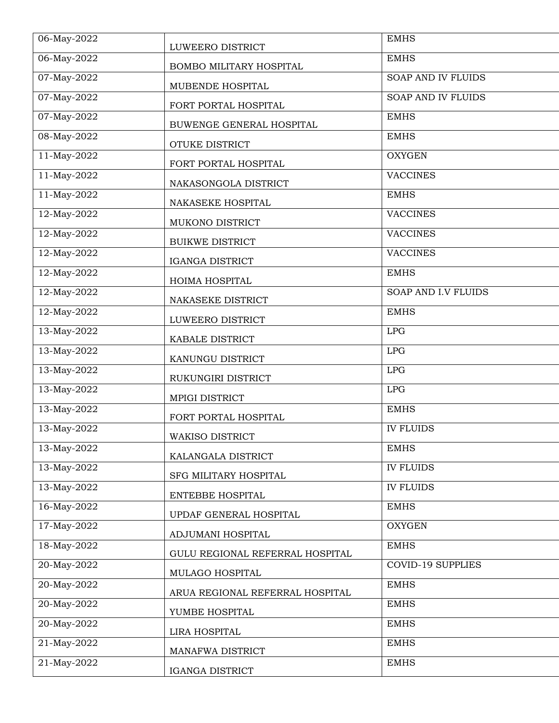| $06 - May - 2022$ | LUWEERO DISTRICT                       | <b>EMHS</b>                |
|-------------------|----------------------------------------|----------------------------|
| 06-May-2022       | BOMBO MILITARY HOSPITAL                | <b>EMHS</b>                |
| 07-May-2022       | MUBENDE HOSPITAL                       | SOAP AND IV FLUIDS         |
| 07-May-2022       | FORT PORTAL HOSPITAL                   | <b>SOAP AND IV FLUIDS</b>  |
| 07-May-2022       | BUWENGE GENERAL HOSPITAL               | <b>EMHS</b>                |
| 08-May-2022       | OTUKE DISTRICT                         | <b>EMHS</b>                |
| 11-May-2022       | FORT PORTAL HOSPITAL                   | <b>OXYGEN</b>              |
| 11-May-2022       | NAKASONGOLA DISTRICT                   | <b>VACCINES</b>            |
| 11-May-2022       | NAKASEKE HOSPITAL                      | <b>EMHS</b>                |
| 12-May-2022       | MUKONO DISTRICT                        | <b>VACCINES</b>            |
| 12-May-2022       | <b>BUIKWE DISTRICT</b>                 | <b>VACCINES</b>            |
| 12-May-2022       | <b>IGANGA DISTRICT</b>                 | <b>VACCINES</b>            |
| $12$ -May-2022    | HOIMA HOSPITAL                         | <b>EMHS</b>                |
| 12-May-2022       | NAKASEKE DISTRICT                      | <b>SOAP AND I.V FLUIDS</b> |
| 12-May-2022       |                                        | <b>EMHS</b>                |
| 13-May-2022       | LUWEERO DISTRICT                       | LPG                        |
| 13-May-2022       | KABALE DISTRICT                        | LPG                        |
| 13-May-2022       | KANUNGU DISTRICT<br>RUKUNGIRI DISTRICT | LPG                        |
| 13-May-2022       |                                        | LPG                        |
| 13-May-2022       | MPIGI DISTRICT                         | <b>EMHS</b>                |
| 13-May-2022       | FORT PORTAL HOSPITAL                   | <b>IV FLUIDS</b>           |
| 13-May-2022       | <b>WAKISO DISTRICT</b>                 | <b>EMHS</b>                |
| 13-May-2022       | KALANGALA DISTRICT                     | <b>IV FLUIDS</b>           |
| 13-May-2022       | SFG MILITARY HOSPITAL                  | <b>IV FLUIDS</b>           |
| 16-May-2022       | ENTEBBE HOSPITAL                       | <b>EMHS</b>                |
| 17-May-2022       | UPDAF GENERAL HOSPITAL                 | <b>OXYGEN</b>              |
| 18-May-2022       | ADJUMANI HOSPITAL                      | <b>EMHS</b>                |
| 20-May-2022       | GULU REGIONAL REFERRAL HOSPITAL        | <b>COVID-19 SUPPLIES</b>   |
| 20-May-2022       | MULAGO HOSPITAL                        | <b>EMHS</b>                |
| 20-May-2022       | ARUA REGIONAL REFERRAL HOSPITAL        | <b>EMHS</b>                |
| 20-May-2022       | YUMBE HOSPITAL                         | <b>EMHS</b>                |
| 21-May-2022       | LIRA HOSPITAL                          | <b>EMHS</b>                |
| 21-May-2022       | MANAFWA DISTRICT                       | <b>EMHS</b>                |
|                   | IGANGA DISTRICT                        |                            |